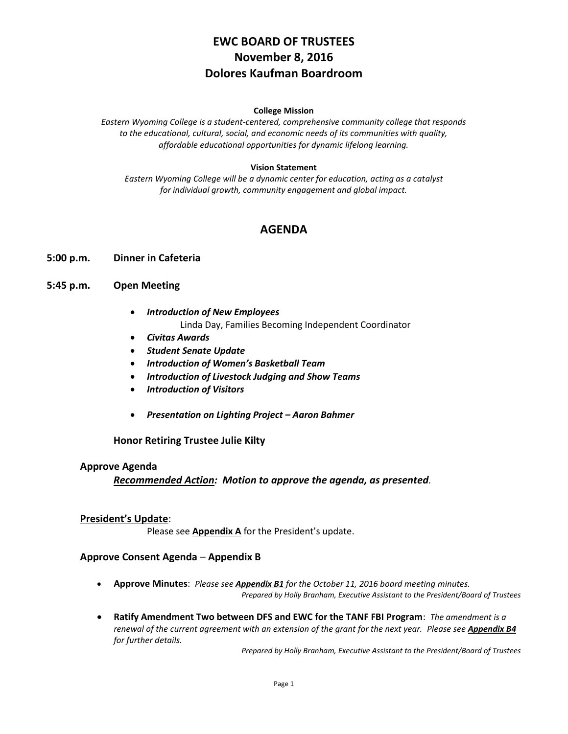# **EWC BOARD OF TRUSTEES November 8, 2016 Dolores Kaufman Boardroom**

#### **College Mission**

*Eastern Wyoming College is a student-centered, comprehensive community college that responds to the educational, cultural, social, and economic needs of its communities with quality, affordable educational opportunities for dynamic lifelong learning.*

#### **Vision Statement**

*Eastern Wyoming College will be a dynamic center for education, acting as a catalyst for individual growth, community engagement and global impact.*

## **AGENDA**

#### **5:00 p.m. Dinner in Cafeteria**

### **5:45 p.m. Open Meeting**

- *Introduction of New Employees* Linda Day, Families Becoming Independent Coordinator
- *Civitas Awards*
- *Student Senate Update*
- *Introduction of Women's Basketball Team*
- *Introduction of Livestock Judging and Show Teams*
- *Introduction of Visitors*
- *Presentation on Lighting Project – Aaron Bahmer*

**Honor Retiring Trustee Julie Kilty**

#### **Approve Agenda**

*Recommended Action: Motion to approve the agenda, as presented.*

#### **President's Update**:

Please see **Appendix A** for the President's update.

#### **Approve Consent Agenda** – **Appendix B**

- **Approve Minutes**: *Please see Appendix B1 for the October 11, 2016 board meeting minutes. Prepared by Holly Branham, Executive Assistant to the President/Board of Trustees*
- **Ratify Amendment Two between DFS and EWC for the TANF FBI Program**: *The amendment is a renewal of the current agreement with an extension of the grant for the next year. Please see Appendix B4 for further details.*

*Prepared by Holly Branham, Executive Assistant to the President/Board of Trustees*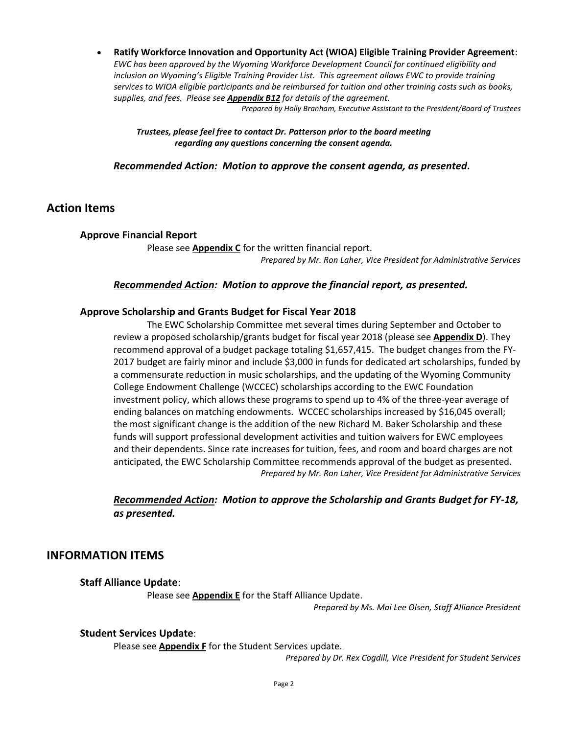**Ratify Workforce Innovation and Opportunity Act (WIOA) Eligible Training Provider Agreement**: *EWC has been approved by the Wyoming Workforce Development Council for continued eligibility and inclusion on Wyoming's Eligible Training Provider List. This agreement allows EWC to provide training services to WIOA eligible participants and be reimbursed for tuition and other training costs such as books, supplies, and fees. Please see Appendix B12 for details of the agreement. Prepared by Holly Branham, Executive Assistant to the President/Board of Trustees*

*Trustees, please feel free to contact Dr. Patterson prior to the board meeting regarding any questions concerning the consent agenda.*

*Recommended Action: Motion to approve the consent agenda, as presented.*

## **Action Items**

#### **Approve Financial Report**

Please see **Appendix C** for the written financial report. *Prepared by Mr. Ron Laher, Vice President for Administrative Services*

### *Recommended Action: Motion to approve the financial report, as presented.*

#### **Approve Scholarship and Grants Budget for Fiscal Year 2018**

The EWC Scholarship Committee met several times during September and October to review a proposed scholarship/grants budget for fiscal year 2018 (please see **Appendix D**). They recommend approval of a budget package totaling \$1,657,415. The budget changes from the FY-2017 budget are fairly minor and include \$3,000 in funds for dedicated art scholarships, funded by a commensurate reduction in music scholarships, and the updating of the Wyoming Community College Endowment Challenge (WCCEC) scholarships according to the EWC Foundation investment policy, which allows these programs to spend up to 4% of the three-year average of ending balances on matching endowments. WCCEC scholarships increased by \$16,045 overall; the most significant change is the addition of the new Richard M. Baker Scholarship and these funds will support professional development activities and tuition waivers for EWC employees and their dependents. Since rate increases for tuition, fees, and room and board charges are not anticipated, the EWC Scholarship Committee recommends approval of the budget as presented. *Prepared by Mr. Ron Laher, Vice President for Administrative Services*

## *Recommended Action: Motion to approve the Scholarship and Grants Budget for FY-18, as presented.*

## **INFORMATION ITEMS**

#### **Staff Alliance Update**:

Please see **Appendix E** for the Staff Alliance Update.

*Prepared by Ms. Mai Lee Olsen, Staff Alliance President* 

#### **Student Services Update**:

Please see **Appendix F** for the Student Services update.

*Prepared by Dr. Rex Cogdill, Vice President for Student Services*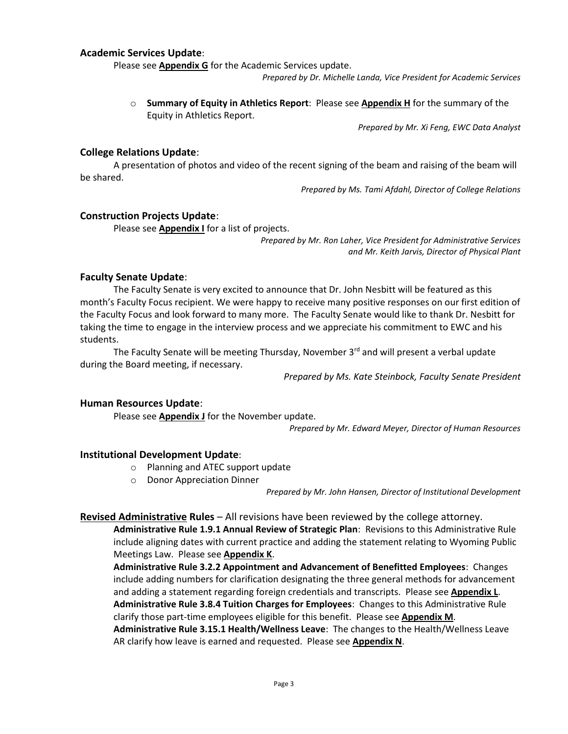### **Academic Services Update**:

Please see **Appendix G** for the Academic Services update.

*Prepared by Dr. Michelle Landa, Vice President for Academic Services*

o **Summary of Equity in Athletics Report**: Please see **Appendix H** for the summary of the Equity in Athletics Report.

*Prepared by Mr. Xi Feng, EWC Data Analyst*

### **College Relations Update**:

A presentation of photos and video of the recent signing of the beam and raising of the beam will be shared.

*Prepared by Ms. Tami Afdahl, Director of College Relations*

#### **Construction Projects Update**:

Please see **Appendix I** for a list of projects.

*Prepared by Mr. Ron Laher, Vice President for Administrative Services and Mr. Keith Jarvis, Director of Physical Plant*

#### **Faculty Senate Update**:

The Faculty Senate is very excited to announce that Dr. John Nesbitt will be featured as this month's Faculty Focus recipient. We were happy to receive many positive responses on our first edition of the Faculty Focus and look forward to many more. The Faculty Senate would like to thank Dr. Nesbitt for taking the time to engage in the interview process and we appreciate his commitment to EWC and his students.

The Faculty Senate will be meeting Thursday, November 3<sup>rd</sup> and will present a verbal update during the Board meeting, if necessary.

*Prepared by Ms. Kate Steinbock, Faculty Senate President*

### **Human Resources Update**:

Please see **Appendix J** for the November update.

*Prepared by Mr. Edward Meyer, Director of Human Resources*

### **Institutional Development Update**:

- o Planning and ATEC support update
- o Donor Appreciation Dinner

*Prepared by Mr. John Hansen, Director of Institutional Development*

**Revised Administrative Rules** – All revisions have been reviewed by the college attorney.

**Administrative Rule 1.9.1 Annual Review of Strategic Plan**: Revisions to this Administrative Rule include aligning dates with current practice and adding the statement relating to Wyoming Public Meetings Law. Please see **Appendix K**.

**Administrative Rule 3.2.2 Appointment and Advancement of Benefitted Employees**: Changes include adding numbers for clarification designating the three general methods for advancement and adding a statement regarding foreign credentials and transcripts. Please see **Appendix L**. **Administrative Rule 3.8.4 Tuition Charges for Employees**: Changes to this Administrative Rule clarify those part-time employees eligible for this benefit. Please see **Appendix M**. **Administrative Rule 3.15.1 Health/Wellness Leave**: The changes to the Health/Wellness Leave AR clarify how leave is earned and requested. Please see **Appendix N**.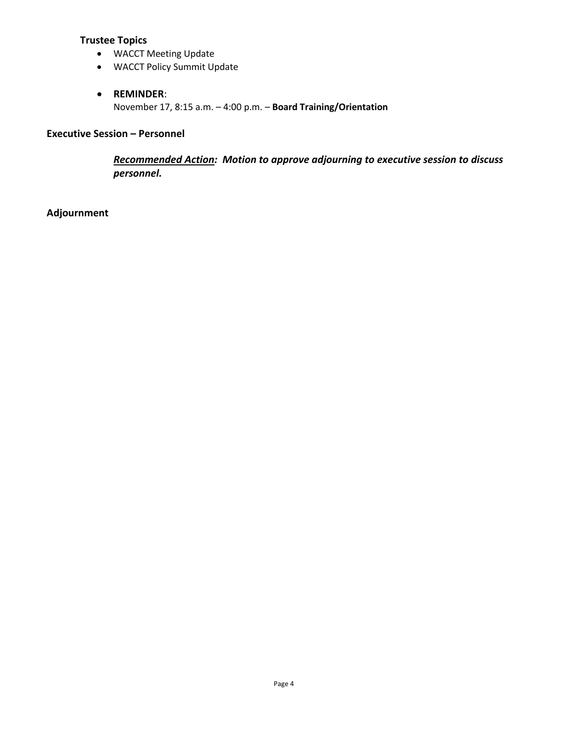## **Trustee Topics**

- WACCT Meeting Update
- WACCT Policy Summit Update

## **REMINDER**:

November 17, 8:15 a.m. – 4:00 p.m. – **Board Training/Orientation** 

## **Executive Session – Personnel**

*Recommended Action: Motion to approve adjourning to executive session to discuss personnel.*

## **Adjournment**